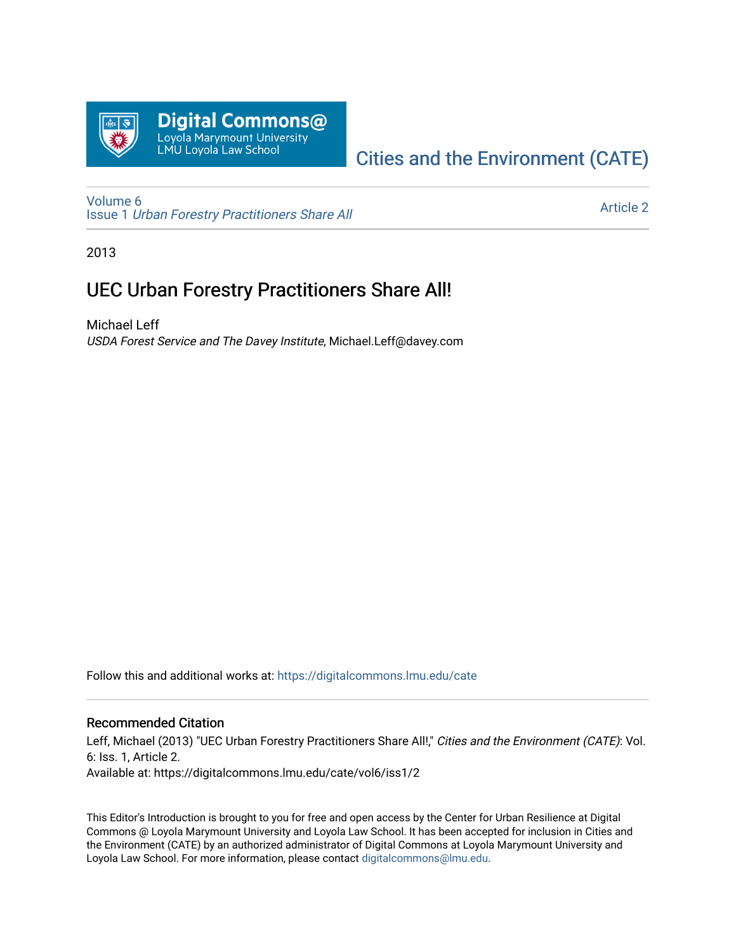

# [Cities and the Environment \(CATE\)](https://digitalcommons.lmu.edu/cate)

[Volume 6](https://digitalcommons.lmu.edu/cate/vol6) Issue 1 [Urban Forestry Practitioners Share All](https://digitalcommons.lmu.edu/cate/vol6/iss1) 

[Article 2](https://digitalcommons.lmu.edu/cate/vol6/iss1/2) 

2013

## UEC Urban Forestry Practitioners Share All!

Michael Leff USDA Forest Service and The Davey Institute, Michael.Leff@davey.com

Follow this and additional works at: [https://digitalcommons.lmu.edu/cate](https://digitalcommons.lmu.edu/cate?utm_source=digitalcommons.lmu.edu%2Fcate%2Fvol6%2Fiss1%2F2&utm_medium=PDF&utm_campaign=PDFCoverPages) 

### Recommended Citation

Leff, Michael (2013) "UEC Urban Forestry Practitioners Share All!," Cities and the Environment (CATE): Vol. 6: Iss. 1, Article 2. Available at: https://digitalcommons.lmu.edu/cate/vol6/iss1/2

This Editor's Introduction is brought to you for free and open access by the Center for Urban Resilience at Digital Commons @ Loyola Marymount University and Loyola Law School. It has been accepted for inclusion in Cities and the Environment (CATE) by an authorized administrator of Digital Commons at Loyola Marymount University and Loyola Law School. For more information, please contact [digitalcommons@lmu.edu](mailto:digitalcommons@lmu.edu).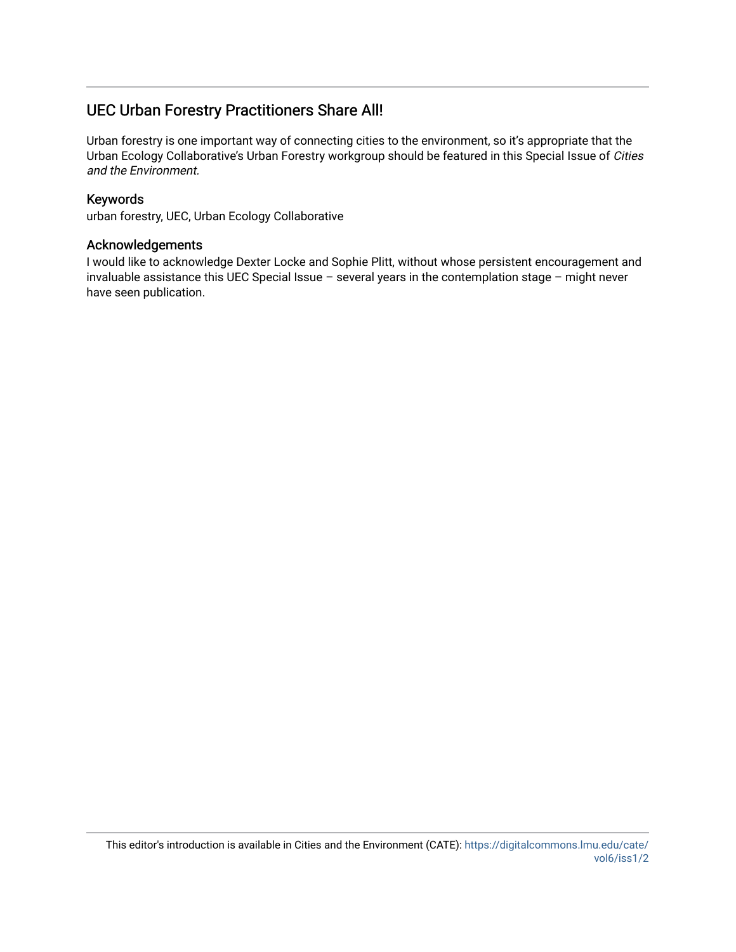### UEC Urban Forestry Practitioners Share All!

Urban forestry is one important way of connecting cities to the environment, so it's appropriate that the Urban Ecology Collaborative's Urban Forestry workgroup should be featured in this Special Issue of Cities and the Environment.

### Keywords

urban forestry, UEC, Urban Ecology Collaborative

#### Acknowledgements

I would like to acknowledge Dexter Locke and Sophie Plitt, without whose persistent encouragement and invaluable assistance this UEC Special Issue – several years in the contemplation stage – might never have seen publication.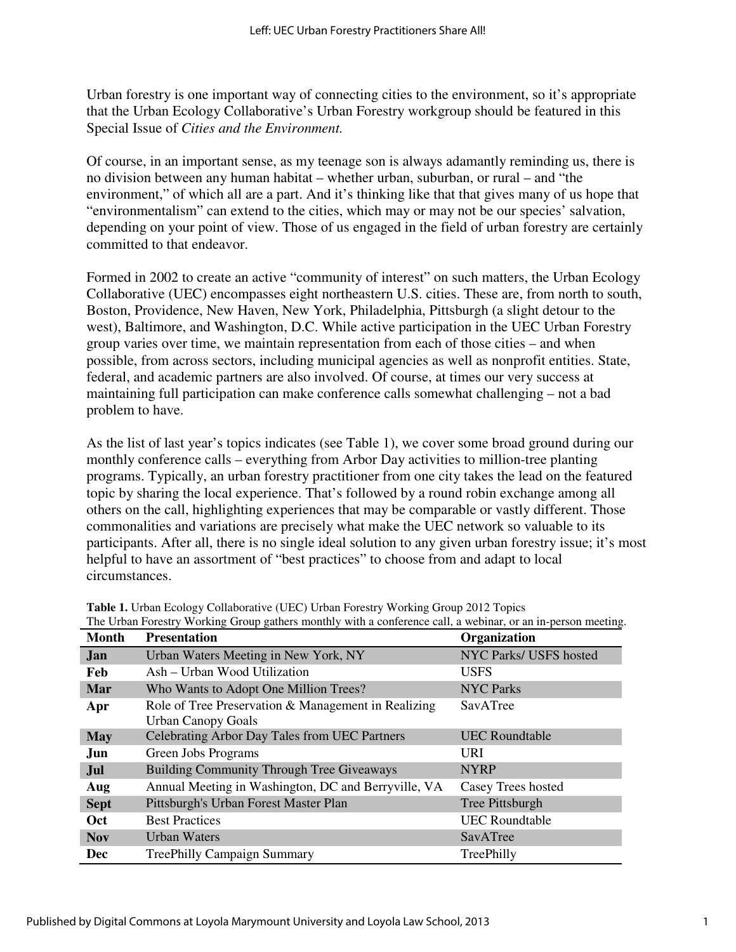Urban forestry is one important way of connecting cities to the environment, so it's appropriate that the Urban Ecology Collaborative's Urban Forestry workgroup should be featured in this Special Issue of *Cities and the Environment.*

Of course, in an important sense, as my teenage son is always adamantly reminding us, there is no division between any human habitat – whether urban, suburban, or rural – and "the environment," of which all are a part. And it's thinking like that that gives many of us hope that "environmentalism" can extend to the cities, which may or may not be our species' salvation, depending on your point of view. Those of us engaged in the field of urban forestry are certainly committed to that endeavor.

Formed in 2002 to create an active "community of interest" on such matters, the Urban Ecology Collaborative (UEC) encompasses eight northeastern U.S. cities. These are, from north to south, Boston, Providence, New Haven, New York, Philadelphia, Pittsburgh (a slight detour to the west), Baltimore, and Washington, D.C. While active participation in the UEC Urban Forestry group varies over time, we maintain representation from each of those cities – and when possible, from across sectors, including municipal agencies as well as nonprofit entities. State, federal, and academic partners are also involved. Of course, at times our very success at maintaining full participation can make conference calls somewhat challenging – not a bad problem to have.

As the list of last year's topics indicates (see Table 1), we cover some broad ground during our monthly conference calls – everything from Arbor Day activities to million-tree planting programs. Typically, an urban forestry practitioner from one city takes the lead on the featured topic by sharing the local experience. That's followed by a round robin exchange among all others on the call, highlighting experiences that may be comparable or vastly different. Those commonalities and variations are precisely what make the UEC network so valuable to its participants. After all, there is no single ideal solution to any given urban forestry issue; it's most helpful to have an assortment of "best practices" to choose from and adapt to local circumstances.

| <b>Month</b> | c eroan't orestry working eroap gainers monanty with a comercitie can, a webmar, or an in person meeting<br><b>Presentation</b> | Organization           |
|--------------|---------------------------------------------------------------------------------------------------------------------------------|------------------------|
| Jan          | Urban Waters Meeting in New York, NY                                                                                            | NYC Parks/ USFS hosted |
| Feb          | Ash - Urban Wood Utilization                                                                                                    | <b>USFS</b>            |
| Mar          | Who Wants to Adopt One Million Trees?                                                                                           | <b>NYC Parks</b>       |
| Apr          | Role of Tree Preservation & Management in Realizing<br><b>Urban Canopy Goals</b>                                                | SavATree               |
| <b>May</b>   | Celebrating Arbor Day Tales from UEC Partners                                                                                   | <b>UEC</b> Roundtable  |
| Jun          | Green Jobs Programs                                                                                                             | <b>URI</b>             |
| Jul          | <b>Building Community Through Tree Giveaways</b>                                                                                | <b>NYRP</b>            |
| Aug          | Annual Meeting in Washington, DC and Berryville, VA                                                                             | Casey Trees hosted     |
| <b>Sept</b>  | Pittsburgh's Urban Forest Master Plan                                                                                           | Tree Pittsburgh        |
| <b>Oct</b>   | <b>Best Practices</b>                                                                                                           | <b>UEC</b> Roundtable  |
| <b>Nov</b>   | <b>Urban Waters</b>                                                                                                             | SavATree               |
| Dec          | <b>TreePhilly Campaign Summary</b>                                                                                              | TreePhilly             |

| Table 1. Urban Ecology Collaborative (UEC) Urban Forestry Working Group 2012 Topics                          |
|--------------------------------------------------------------------------------------------------------------|
| The Urban Forestry Working Group gathers monthly with a conference call, a webinar, or an in-person meeting. |